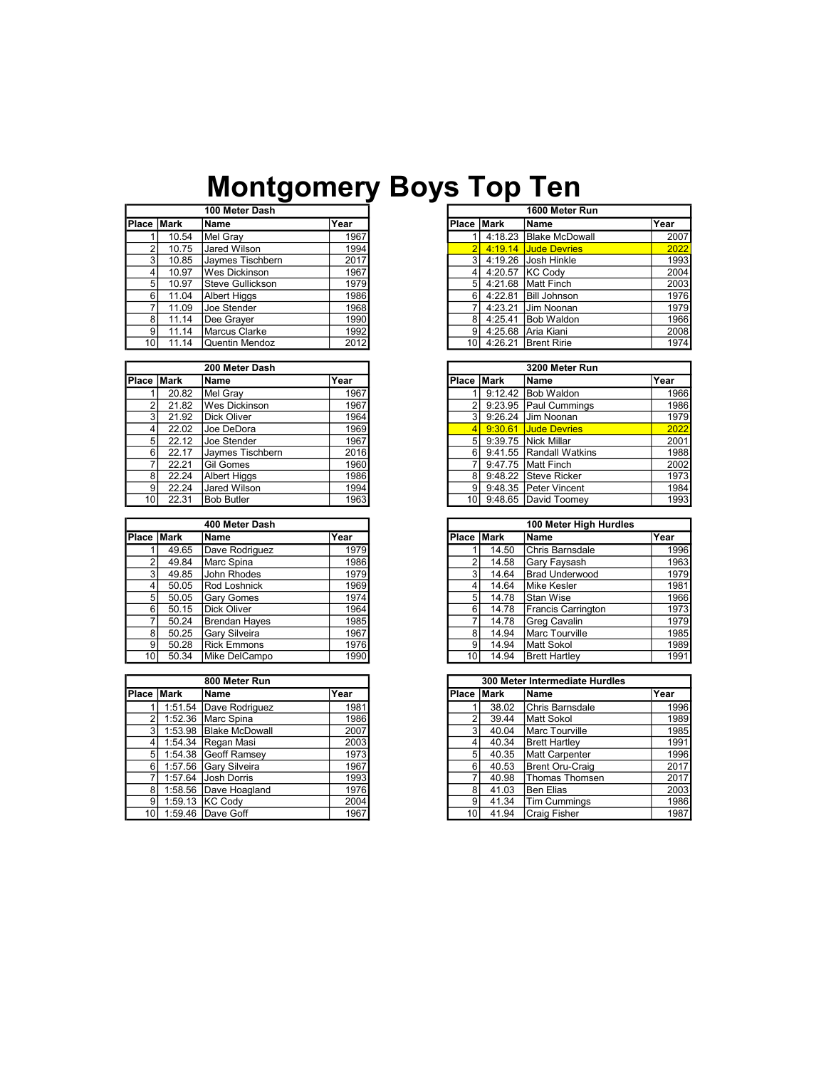## Montgomery Boys Top Ten

|                 |                   | 100 Meter Dash      |      |
|-----------------|-------------------|---------------------|------|
|                 | <b>Place Mark</b> | <b>Name</b>         | Year |
|                 | 10.54             | Mel Grav            | 1967 |
|                 | 10.75             | Jared Wilson        | 1994 |
| 31              | 10.85             | Javmes Tischbern    | 2017 |
| 4 <sup>1</sup>  | 10.97             | Wes Dickinson       | 1967 |
| 51              | 10.97             | Steve Gullickson    | 1979 |
| 61              | 11.04             | <b>Albert Higgs</b> | 1986 |
|                 | 11.09             | Joe Stender         | 1968 |
| 8               | 11.14             | Dee Grayer          | 1990 |
| 9               | 11.14             | Marcus Clarke       | 1992 |
| 10 <sup>1</sup> | 11.14             | Quentin Mendoz      | 2012 |

|                   |       | 200 Meter Dash       |        |
|-------------------|-------|----------------------|--------|
| <b>Place Mark</b> |       | ∣Name                | Year   |
|                   | 20.82 | Mel Grav             | 1967   |
|                   | 21.82 | <b>Wes Dickinson</b> | 1967   |
|                   | 21.92 | Dick Oliver          | 1964   |
| 4                 | 22.02 | Joe DeDora           | 1969 I |
| 51                | 22.12 | Joe Stender          | 1967   |
| 6                 | 22.17 | Javmes Tischbern     | 2016   |
|                   | 22.21 | Gil Gomes            | 1960 I |
| 81                | 22.24 | Albert Higgs         | 1986 I |
| 91                | 22.24 | Jared Wilson         | 1994 l |
| 10 <sup>1</sup>   | 22.31 | <b>Bob Butler</b>    | 1963 I |

|                 |                   | 400 Meter Dash       |        |
|-----------------|-------------------|----------------------|--------|
|                 | <b>Place Mark</b> | Name                 | Year   |
|                 | 49.65             | Dave Rodriguez       | 1979   |
|                 | 49.84             | Marc Spina           | 1986   |
| 31              | 49.85             | John Rhodes          | 1979   |
| 4 <sup>1</sup>  | 50.05             | Rod Loshnick         | 19691  |
| 51              | 50.05             | <b>Garv Gomes</b>    | 1974   |
| 61              | 50.15             | <b>Dick Oliver</b>   | 1964 I |
|                 | 50.24             | <b>Brendan Haves</b> | 1985   |
| 81              | 50.25             | <b>Gary Silveira</b> | 1967   |
| $\overline{9}$  | 50.28             | <b>Rick Emmons</b>   | 1976   |
| 10 <sup>1</sup> | 50.34             | Mike DelCampo        | 1990   |

|                   |         | 800 Meter Run          |        |
|-------------------|---------|------------------------|--------|
| <b>Place Mark</b> |         | <b>Name</b>            | Year   |
|                   | 1:51.54 | Dave Rodriguez         | 1981   |
|                   |         | 1:52.36   Marc Spina   | 1986 I |
|                   |         | 1:53.98 Blake McDowall | 2007   |
|                   |         | 1:54.34 Regan Masi     | 2003   |
| 51                |         | 1:54.38 Geoff Ramsey   | 1973   |
| 61                |         | 1:57.56 Gary Silveira  | 1967   |
|                   |         | 1:57.64 Josh Dorris    | 1993 I |
|                   |         | 1:58.56 Dave Hoagland  | 1976   |
| 91                |         | 1:59.13 KC Codv        | 2004   |
| 10 <sup>1</sup>   |         | 1:59.46 Dave Goff      | 1967   |

|                 |          | 100 Meter Dash     |      |
|-----------------|----------|--------------------|------|
|                 | e lMark: | <b>Name</b>        | Year |
|                 | 10.54    | Mel Grav           | 1967 |
| 2 <sup>1</sup>  | 10.75    | Jared Wilson       | 1994 |
| 31              | 10.85    | Jaymes Tischbern   | 2017 |
| 4               | 10.97    | Wes Dickinson      | 1967 |
| 5 <sub>1</sub>  | 10.97    | Steve Gullickson   | 1979 |
| 6               | 11.04    | Albert Higgs       | 1986 |
| $\overline{7}$  | 11.09    | Joe Stender        | 1968 |
| 8 <sup>1</sup>  | 11.14    | <b>IDee Graver</b> | 1990 |
| 9               | 11.14    | Marcus Clarke      | 1992 |
| 10 <sub>l</sub> | 11.14    | Quentin Mendoz     | 2012 |

|                 |         | 200 Meter Dash      |      |
|-----------------|---------|---------------------|------|
|                 | e Mark: | Name                | Year |
|                 | 20.82   | Mel Grav            | 1967 |
| 2               | 21.82   | Wes Dickinson       | 1967 |
| 31              | 21.92   | Dick Oliver         | 1964 |
| 4'              | 22.02   | IJoe DeDora         | 1969 |
| 51              | 22.12   | Uoe Stender         | 1967 |
| 6 <sup>1</sup>  | 22.17   | IJavmes Tischbern   | 2016 |
|                 | 22.21   | IGil Gomes          | 1960 |
| 8 <sup>1</sup>  | 22.24   | Albert Higgs        | 1986 |
| 9               | 22.24   | <b>Jared Wilson</b> | 1994 |
| 10 <sup>1</sup> | 22.31   | <b>Bob Butler</b>   | 1963 |

|                 |          | 400 Meter Dash      |      |
|-----------------|----------|---------------------|------|
|                 | e lMark: | <b>Name</b>         | Year |
|                 | 49.65    | Dave Rodriguez      | 1979 |
| $\overline{2}$  | 49.84    | Marc Spina          | 1986 |
| 3I              | 49.85    | <b>John Rhodes</b>  | 1979 |
| $\overline{4}$  | 50.05    | <b>Rod Loshnick</b> | 1969 |
| 5 <sup>1</sup>  | 50.05    | <b>IGarv Gomes</b>  | 1974 |
| 6               | 50.15    | Dick Oliver         | 1964 |
|                 | 50.24    | Brendan Hayes       | 1985 |
| 8               | 50.25    | lGarv Silveira      | 1967 |
| -91             | 50.28    | <b>Rick Emmons</b>  | 1976 |
| 10 <sup>1</sup> | 50.34    | Mike DelCampo       | 1990 |

|                |          | 800 Meter Run          |      |
|----------------|----------|------------------------|------|
|                | e lMark: | <b>Name</b>            | Year |
|                |          | 1:51.54 Dave Rodriguez | 1981 |
| 2 <sup>1</sup> |          | 1:52.36   Marc Spina   | 1986 |
| 3 <sup>1</sup> |          | 1:53.98 Blake McDowall | 2007 |
| 4 <sup>1</sup> |          | 1:54.34 Regan Masi     | 2003 |
| 5 <sup>1</sup> |          | 1:54.38 Geoff Ramsey   | 1973 |
| 6I             |          | 1:57.56 Gary Silveira  | 1967 |
|                |          | 1:57.64 Josh Dorris    | 1993 |
| 8              |          | 1:58.56 Dave Hoagland  | 1976 |
| 91             |          | 1:59.13 KC Codv        | 2004 |
| 10 I           |          | 1:59.46 Dave Goff      | 1967 |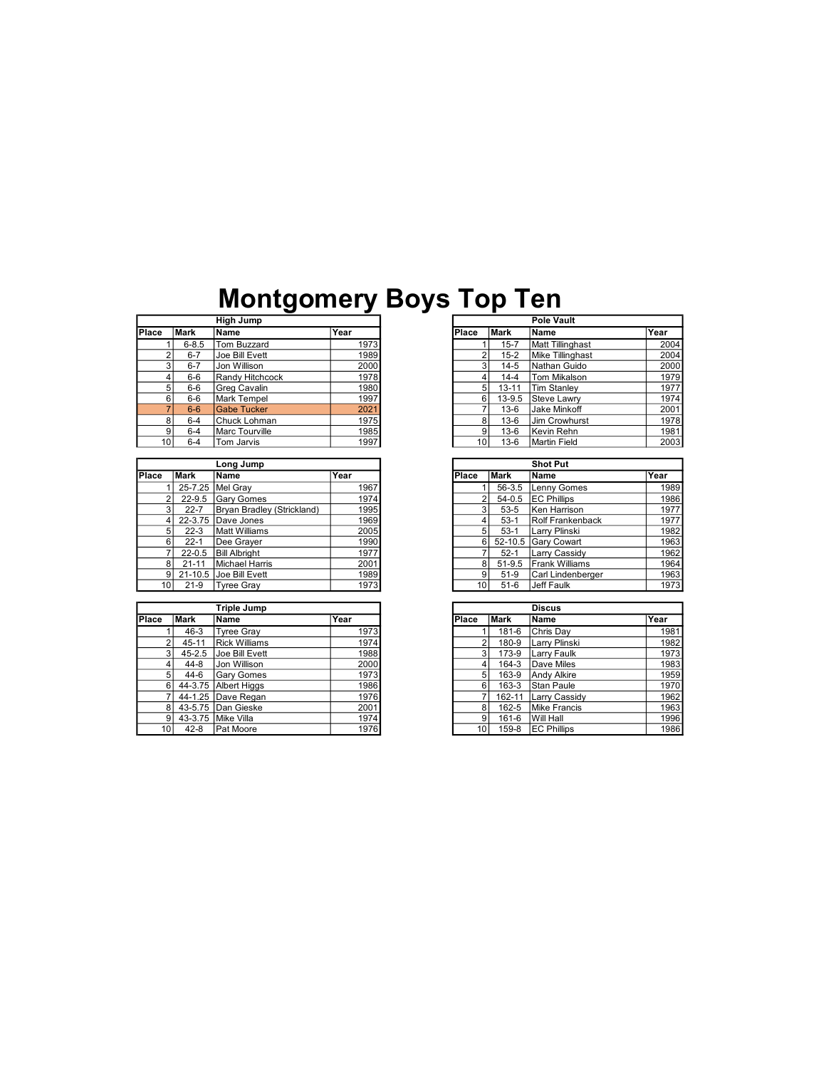## Montgomery Boys Top Ten

|                 |           | High Jump             |      |
|-----------------|-----------|-----------------------|------|
| <b>Place</b>    | Mark      | ∣Name                 | Year |
|                 | $6 - 8.5$ | Tom Buzzard           | 1973 |
| ົ               | $6 - 7$   | Joe Bill Evett        | 1989 |
| 3               | $6 - 7$   | Jon Willison          | 2000 |
| 4               | $6-6$     | Randy Hitchcock       | 1978 |
| 5               | $6-6$     | Greg Cavalin          | 1980 |
| 6               | $6-6$     | Mark Tempel           | 1997 |
| -               | $6-6$     | Gabe Tucker           | 2021 |
| 8               | $6-4$     | Chuck Lohman          | 1975 |
| 9               | $6 - 4$   | <b>Marc Tourville</b> | 1985 |
| 10 <sup>1</sup> | $6 - 4$   | Tom Jarvis            | 1997 |

|                 |             | Long Jump                  |      |
|-----------------|-------------|----------------------------|------|
| <b>IPlace</b>   | <b>Mark</b> | Name                       | Year |
|                 |             | 25-7.25 Mel Gray           | 1967 |
|                 | $22 - 9.5$  | <b>Gary Gomes</b>          | 1974 |
| $\mathbf{r}$    | $22 - 7$    | Bryan Bradley (Strickland) | 1995 |
|                 |             | 22-3.75 Dave Jones         | 1969 |
| 5               | $22 - 3$    | Matt Williams              | 2005 |
| 6               | $22 - 1$    | Dee Grayer                 | 1990 |
|                 | $22 - 0.5$  | <b>Bill Albright</b>       | 1977 |
| 8               | $21 - 11$   | Michael Harris             | 2001 |
| 9               |             | 21-10.5 Joe Bill Evett     | 1989 |
| 10 <sup>1</sup> | $21-9$      | <b>Tyree Gray</b>          | 1973 |

|                 |             | Triple Jump          |      |
|-----------------|-------------|----------------------|------|
| <b>Place</b>    | <b>Mark</b> | ∣Name                | Year |
|                 | $46 - 3$    | <b>Tyree Gray</b>    | 1973 |
| ົ               | 45-11       | <b>Rick Williams</b> | 1974 |
| 3               | $45 - 2.5$  | Joe Bill Evett       | 1988 |
| 4               | 44-8        | Jon Willison         | 2000 |
| 5               | 44-6        | <b>Gary Gomes</b>    | 1973 |
| 6               |             | 44-3.75 Albert Higgs | 1986 |
|                 |             | 44-1.25 Dave Regan   | 1976 |
| 8               |             | 43-5.75 Dan Gieske   | 2001 |
| 9               |             | 43-3.75 Mike Villa   | 1974 |
| 10 <sup>1</sup> | $42 - 8$    | <b>Pat Moore</b>     | 1976 |

|                 |             | High Jump             |      |
|-----------------|-------------|-----------------------|------|
|                 | <b>Mark</b> | Name                  | Year |
|                 | $6 - 8.5$   | Tom Buzzard           | 1973 |
| $\overline{2}$  | $6 - 7$     | Joe Bill Evett        | 1989 |
| 3 <sup>1</sup>  | $6 - 7$     | Jon Willison          | 2000 |
| $\overline{4}$  | $6-6$       | Randy Hitchcock       | 1978 |
| 5 <sup>5</sup>  | $6-6$       | Greg Cavalin          | 1980 |
| $6 \mid$        | $6-6$       | <b>Mark Tempel</b>    | 1997 |
| $\overline{7}$  | $6-6$       | <b>Gabe Tucker</b>    | 2021 |
| 8               | $6 - 4$     | Chuck Lohman          | 1975 |
| 9               | $6 - 4$     | <b>Marc Tourville</b> | 1985 |
| 10 <sup>1</sup> | $6 - 4$     | Tom Jarvis            | 1997 |

| Long Jump        |             |                            |      |
|------------------|-------------|----------------------------|------|
|                  | <b>Mark</b> | Name                       | Year |
|                  | 25-7.25     | Mel Grav                   | 1967 |
| $\overline{2}$   | $22 - 9.5$  | <b>Gary Gomes</b>          | 1974 |
| 3 <sup>1</sup>   | $22 - 7$    | Bryan Bradley (Strickland) | 1995 |
| 4                | 22-3.75     | Dave Jones                 | 1969 |
| 5 <sup>5</sup>   | $22 - 3$    | Matt Williams              | 2005 |
| $6 \overline{6}$ | $22 - 1$    | Dee Graver                 | 1990 |
|                  | $22 - 0.5$  | <b>Bill Albright</b>       | 1977 |
| 8 <sup>1</sup>   | $21 - 11$   | <b>Michael Harris</b>      | 2001 |
| 9                |             | 21-10.5 Joe Bill Evett     | 1989 |
| 10 l             | $21-9$      | <b>Tyree Grav</b>          | 1973 |

| Triple Jump     |             |                      |      |
|-----------------|-------------|----------------------|------|
|                 | <b>Mark</b> | Name                 | Year |
|                 | $46 - 3$    | <b>Tyree Grav</b>    | 1973 |
| $\overline{2}$  | 45-11       | <b>Rick Williams</b> | 1974 |
| 3 <sup>1</sup>  | 45-2.5      | Joe Bill Evett       | 1988 |
| $\overline{4}$  | 44-8        | Jon Willison         | 2000 |
| 5 <sub>1</sub>  | 44-6        | <b>Gary Gomes</b>    | 1973 |
| $6 \mid$        |             | 44-3.75 Albert Higgs | 1986 |
| 7 <sup>1</sup>  |             | 44-1.25 Dave Regan   | 1976 |
| 8 <sup>1</sup>  |             | 43-5.75   Dan Gieske | 2001 |
| 9               |             | 43-3.75   Mike Villa | 1974 |
| 10 <sup>1</sup> | $42 - 8$    | Pat Moore            | 1976 |